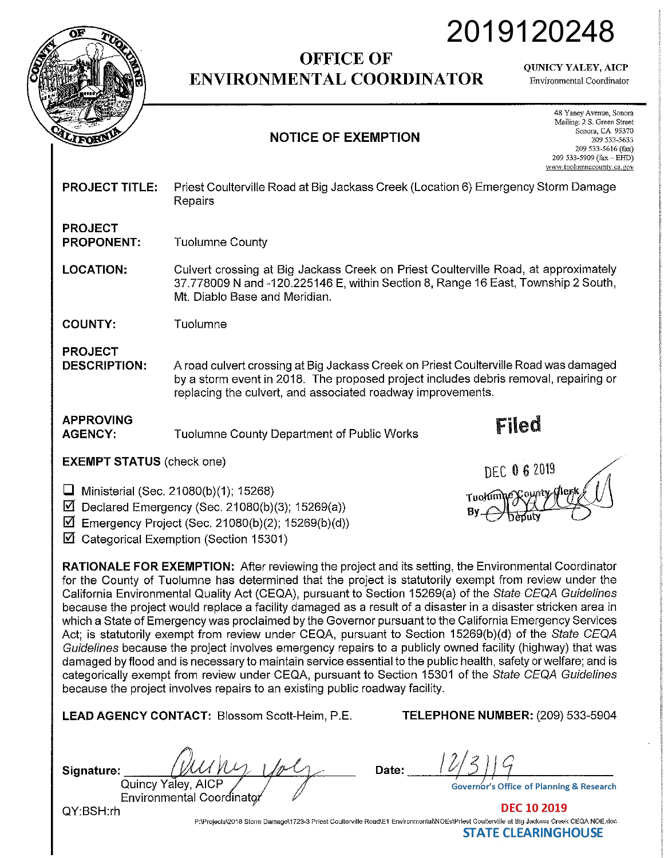

## **OFFICE OF ENVIRONMENTAL COORDINATOR**

QUNICY YALEY, AICP

2019120248

Environmental Coordinator

## **NOTICE OF EXEMPTION**

48 Yaney Avenue, Sonora Mailing: 2 S. Green Street Sonora, CA 95370 209 533-5633 209 533-5616 (fax) 209 533-5909 (fax- EHD) www.tuohnnnecounty.ca.gov

| <b>PROJECT TITLE:</b> | Priest Coulterville Road at Big Jackass Creek (Location 6) Emergency Storm Damage |
|-----------------------|-----------------------------------------------------------------------------------|
|                       | Repairs                                                                           |

## **PROJECT PROPONENT:**  Tuolumne County

**LOCATION:**  Culvert crossing at Big Jackass Creek on Priest Coulterville Road, at approximately 37.778009 N and-120.225146 E, within Section 8, Range 16 East, Township 2 South, Mt. Diablo Base and Meridian.

**COUNTY:**  Tuolumne

**PROJECT DESCRIPTION:** 

A road culvert crossing at Big Jackass Creek on Priest Coulterville Road was damaged by a storm event in 2018. The proposed project includes debris removal, repairing or replacing the culvert, and associated roadway improvements.

**APPROVING AGENCY:** 

Tuolumne County Department of Public Works **Filed** 

**EXEMPT STATUS** (check one) OEC **O** 6 2019

**D** Ministerial (Sec. 21080(b)(1); 15268)

**0** Declared Emergency (Sec. 21080(b)(3); 15269(a))

**0** Emergency Project (Sec. 21080(b)(2); 15269(b)(d))

 $\boxtimes$  Categorical Exemption (Section 15301)



**LEAD AGENCY CONTACT:** Blossom Scott-Heim, P.E.

**TELEPHONE NUMBER:** (209) 533-5904

| Signature: | UMMM                                            |  |
|------------|-------------------------------------------------|--|
|            | Quincy Yaley, AICP<br>Environmental Coordinator |  |
|            |                                                 |  |
| QY:BSH.rh  |                                                 |  |

**Date:** ---'/--lt/'--""5-+,) *}'--11---*

**DEC 10 2019** P:\Projects\2018 Storm Oamage\1723-3 Priest Coulterville Road\E1 Environmental\NOEs\Prlest Coulterville at Big Jackass Creek CEQA NOE.doc **STATE CLEARINGHOUSE**